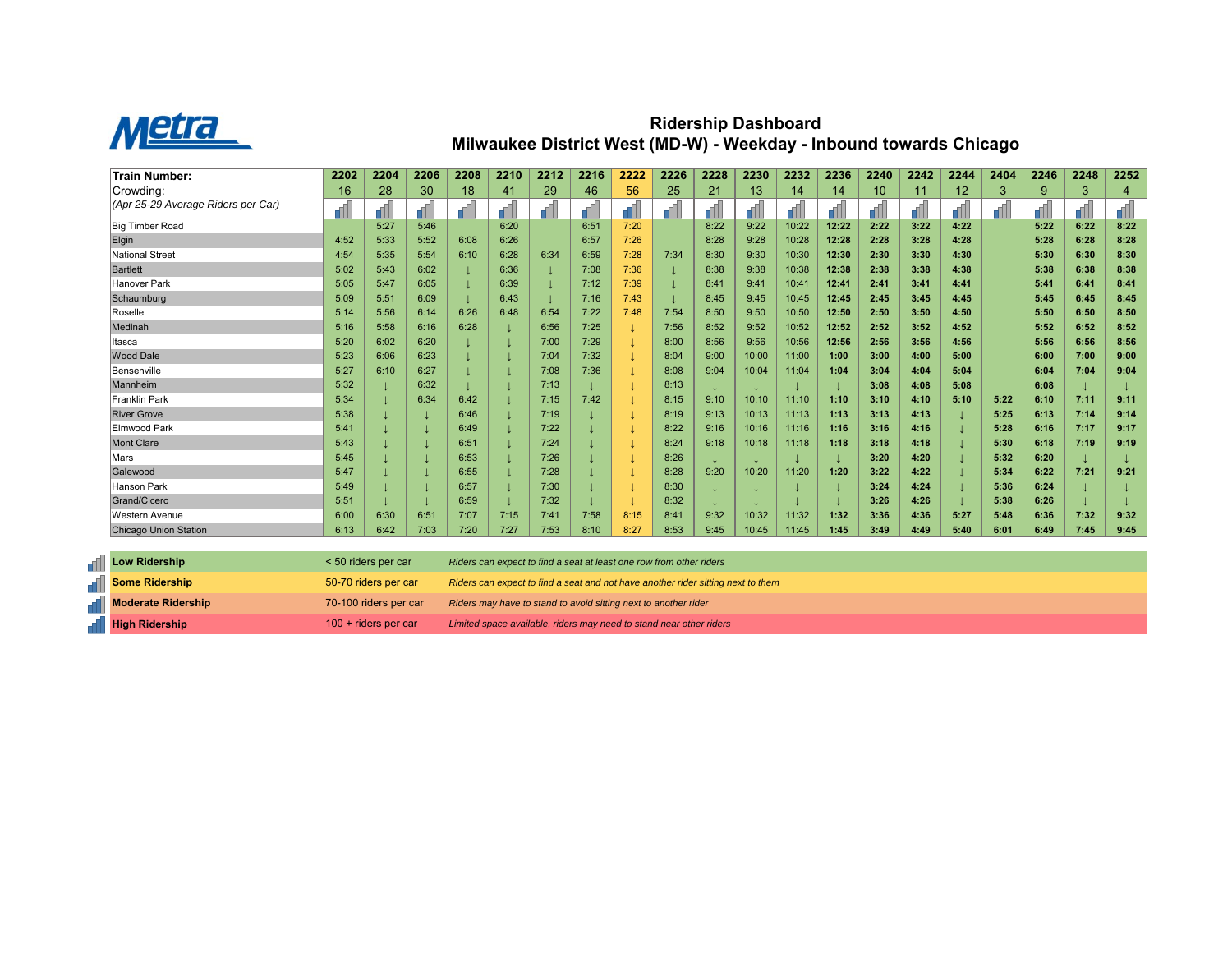

## **Ridership Dashboard Milwaukee District West (MD-W) - Weekday - Inbound towards Chicago**

| <b>Train Number:</b>               | 2202 | 2204 | 2206 | 2208 | 2210 | 2212 | 2216 | 2222 | 2226 | 2228 | 2230  | 2232  | 2236  | 2240 | 2242 | 2244 | 2404 | 2246 | 2248 | 2252                     |
|------------------------------------|------|------|------|------|------|------|------|------|------|------|-------|-------|-------|------|------|------|------|------|------|--------------------------|
| Crowding:                          | 16   | 28   | 30   | 18   | 41   | 29   | 46   | 56   | 25   | 21   | 13    | 14    | 14    | 10   | 11   | 12   | 3    | 9    | 3    | $\boldsymbol{\varDelta}$ |
| (Apr 25-29 Average Riders per Car) |      |      |      |      |      |      |      |      |      |      |       |       |       |      |      |      | dh.  |      |      |                          |
| <b>Big Timber Road</b>             |      | 5:27 | 5:46 |      | 6:20 |      | 6:51 | 7:20 |      | 8:22 | 9:22  | 10:22 | 12:22 | 2:22 | 3:22 | 4:22 |      | 5:22 | 6:22 | 8:22                     |
| Elgin                              | 4:52 | 5:33 | 5:52 | 6:08 | 6:26 |      | 6:57 | 7:26 |      | 8:28 | 9:28  | 10:28 | 12:28 | 2:28 | 3:28 | 4:28 |      | 5:28 | 6:28 | 8:28                     |
| National Street                    | 4:54 | 5:35 | 5:54 | 6:10 | 6:28 | 6:34 | 6:59 | 7:28 | 7:34 | 8:30 | 9:30  | 10:30 | 12:30 | 2:30 | 3:30 | 4:30 |      | 5:30 | 6:30 | 8:30                     |
| <b>Bartlett</b>                    | 5:02 | 5:43 | 6:02 |      | 6:36 |      | 7:08 | 7:36 |      | 8:38 | 9:38  | 10:38 | 12:38 | 2:38 | 3:38 | 4:38 |      | 5:38 | 6:38 | 8:38                     |
| Hanover Park                       | 5:05 | 5:47 | 6:05 |      | 6:39 |      | 7:12 | 7:39 |      | 8:41 | 9:41  | 10:41 | 12:41 | 2:41 | 3:41 | 4:41 |      | 5:41 | 6:41 | 8:41                     |
| Schaumburg                         | 5:09 | 5:51 | 6:09 |      | 6:43 |      | 7:16 | 7:43 |      | 8:45 | 9:45  | 10:45 | 12:45 | 2:45 | 3:45 | 4:45 |      | 5:45 | 6:45 | 8:45                     |
| Roselle                            | 5:14 | 5:56 | 6:14 | 6:26 | 6:48 | 6:54 | 7:22 | 7:48 | 7:54 | 8:50 | 9:50  | 10:50 | 12:50 | 2:50 | 3:50 | 4:50 |      | 5:50 | 6:50 | 8:50                     |
| Medinah                            | 5:16 | 5:58 | 6:16 | 6:28 |      | 6:56 | 7:25 |      | 7:56 | 8:52 | 9:52  | 10:52 | 12:52 | 2:52 | 3:52 | 4:52 |      | 5:52 | 6:52 | 8:52                     |
| Itasca                             | 5:20 | 6:02 | 6:20 |      |      | 7:00 | 7:29 |      | 8:00 | 8:56 | 9:56  | 10:56 | 12:56 | 2:56 | 3:56 | 4:56 |      | 5:56 | 6:56 | 8:56                     |
| <b>Wood Dale</b>                   | 5:23 | 6:06 | 6:23 |      |      | 7:04 | 7:32 |      | 8:04 | 9:00 | 10:00 | 11:00 | 1:00  | 3:00 | 4:00 | 5:00 |      | 6:00 | 7:00 | 9:00                     |
| Bensenville                        | 5:27 | 6:10 | 6:27 |      |      | 7:08 | 7:36 |      | 8:08 | 9:04 | 10:04 | 11:04 | 1:04  | 3:04 | 4:04 | 5:04 |      | 6:04 | 7:04 | 9:04                     |
| Mannheim                           | 5:32 |      | 6:32 |      |      | 7:13 |      |      | 8:13 |      |       |       |       | 3:08 | 4:08 | 5:08 |      | 6:08 |      |                          |
| <b>Franklin Park</b>               | 5:34 |      | 6:34 | 6:42 |      | 7:15 | 7:42 |      | 8:15 | 9:10 | 10:10 | 11:10 | 1:10  | 3:10 | 4:10 | 5:10 | 5:22 | 6:10 | 7:11 | 9:11                     |
| <b>River Grove</b>                 | 5:38 |      |      | 6:46 |      | 7:19 |      |      | 8:19 | 9:13 | 10:13 | 11:13 | 1:13  | 3:13 | 4:13 |      | 5:25 | 6:13 | 7:14 | 9:14                     |
| <b>Elmwood Park</b>                | 5:41 |      |      | 6:49 |      | 7:22 |      |      | 8:22 | 9:16 | 10:16 | 11:16 | 1:16  | 3:16 | 4:16 |      | 5:28 | 6:16 | 7:17 | 9:17                     |
| <b>Mont Clare</b>                  | 5:43 |      |      | 6:51 |      | 7:24 |      |      | 8:24 | 9:18 | 10:18 | 11:18 | 1:18  | 3:18 | 4:18 |      | 5:30 | 6:18 | 7:19 | 9:19                     |
| Mars                               | 5:45 |      |      | 6:53 |      | 7:26 |      |      | 8:26 |      |       |       |       | 3:20 | 4:20 |      | 5:32 | 6:20 |      |                          |
| Galewood                           | 5:47 |      |      | 6:55 |      | 7:28 |      |      | 8:28 | 9:20 | 10:20 | 11:20 | 1:20  | 3:22 | 4:22 |      | 5:34 | 6:22 | 7:21 | 9:21                     |
| <b>Hanson Park</b>                 | 5:49 |      |      | 6:57 |      | 7:30 |      |      | 8:30 |      |       |       |       | 3:24 | 4:24 |      | 5:36 | 6:24 |      |                          |
| Grand/Cicero                       | 5:51 |      |      | 6:59 |      | 7:32 |      |      | 8:32 |      |       |       |       | 3:26 | 4:26 |      | 5:38 | 6:26 |      |                          |
| <b>Western Avenue</b>              | 6:00 | 6:30 | 6:51 | 7:07 | 7:15 | 7:41 | 7:58 | 8:15 | 8:41 | 9:32 | 10:32 | 11:32 | 1:32  | 3:36 | 4:36 | 5:27 | 5:48 | 6:36 | 7:32 | 9:32                     |
| <b>Chicago Union Station</b>       | 6:13 | 6:42 | 7:03 | 7:20 | 7:27 | 7:53 | 8:10 | 8:27 | 8:53 | 9:45 | 10:45 | 11:45 | 1:45  | 3:49 | 4:49 | 5:40 | 6:01 | 6:49 | 7:45 | 9:45                     |

| <b>Now Ridership</b>  | $<$ 50 riders per car  | Riders can expect to find a seat at least one row from other riders              |
|-----------------------|------------------------|----------------------------------------------------------------------------------|
| <b>Some Ridership</b> | 50-70 riders per car   | Riders can expect to find a seat and not have another rider sitting next to them |
| Moderate Ridership    | 70-100 riders per car  | Riders may have to stand to avoid sitting next to another rider                  |
| <b>High Ridership</b> | $100 +$ riders per car | Limited space available, riders may need to stand near other riders              |